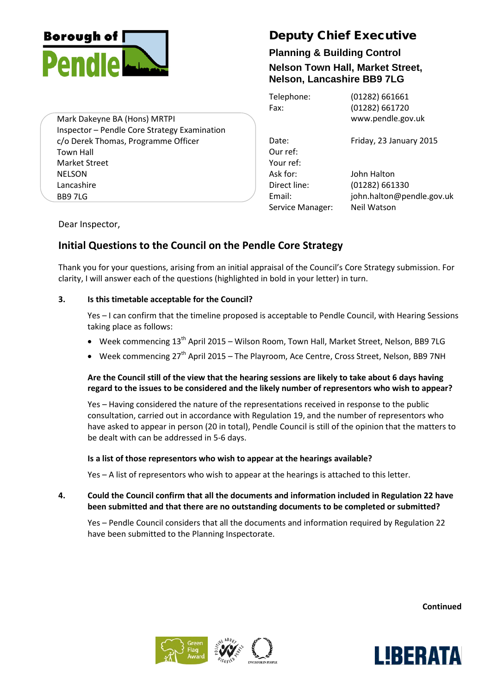

Mark Dakeyne BA (Hons) MRTPI Inspector – Pendle Core Strategy Examination c/o Derek Thomas, Programme Officer Town Hall Market Street NELSON Lancashire BB9 7LG

# Deputy Chief Executive

## **Planning & Building Control Nelson Town Hall, Market Street, Nelson, Lancashire BB9 7LG**

| Telephone:<br>Fax: | (01282) 661661<br>(01282) 661720<br>www.pendle.gov.uk |
|--------------------|-------------------------------------------------------|
| Date:<br>Our ref:  | Friday, 23 January 2015                               |
| Your ref:          |                                                       |
| Ask for:           | John Halton                                           |
| Direct line:       | $(01282)$ 661330                                      |
| Email:             | john.halton@pendle.gov.uk                             |
| Service Manager:   | Neil Watson                                           |

Dear Inspector,

## **Initial Questions to the Council on the Pendle Core Strategy**

Thank you for your questions, arising from an initial appraisal of the Council's Core Strategy submission. For clarity, I will answer each of the questions (highlighted in bold in your letter) in turn.

## **3. Is this timetable acceptable for the Council?**

Yes – I can confirm that the timeline proposed is acceptable to Pendle Council, with Hearing Sessions taking place as follows:

- Week commencing 13<sup>th</sup> April 2015 Wilson Room, Town Hall, Market Street, Nelson, BB9 7LG
- Week commencing 27<sup>th</sup> April 2015 The Playroom, Ace Centre, Cross Street, Nelson, BB9 7NH

## **Are the Council still of the view that the hearing sessions are likely to take about 6 days having regard to the issues to be considered and the likely number of representors who wish to appear?**

Yes – Having considered the nature of the representations received in response to the public consultation, carried out in accordance with Regulation 19, and the number of representors who have asked to appear in person (20 in total), Pendle Council is still of the opinion that the matters to be dealt with can be addressed in 5-6 days.

## **Is a list of those representors who wish to appear at the hearings available?**

Yes – A list of representors who wish to appear at the hearings is attached to this letter.

## **4. Could the Council confirm that all the documents and information included in Regulation 22 have been submitted and that there are no outstanding documents to be completed or submitted?**

Yes – Pendle Council considers that all the documents and information required by Regulation 22 have been submitted to the Planning Inspectorate.

**Continued**



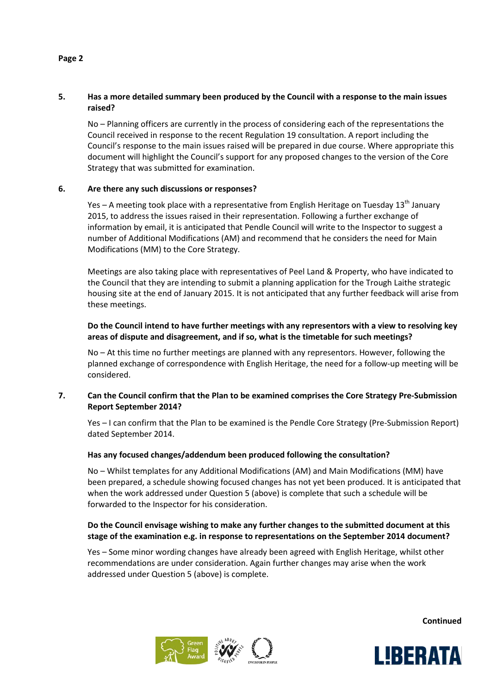## **5. Has a more detailed summary been produced by the Council with a response to the main issues raised?**

No – Planning officers are currently in the process of considering each of the representations the Council received in response to the recent Regulation 19 consultation. A report including the Council's response to the main issues raised will be prepared in due course. Where appropriate this document will highlight the Council's support for any proposed changes to the version of the Core Strategy that was submitted for examination.

#### **6. Are there any such discussions or responses?**

Yes – A meeting took place with a representative from English Heritage on Tuesday  $13<sup>th</sup>$  January 2015, to address the issues raised in their representation. Following a further exchange of information by email, it is anticipated that Pendle Council will write to the Inspector to suggest a number of Additional Modifications (AM) and recommend that he considers the need for Main Modifications (MM) to the Core Strategy.

Meetings are also taking place with representatives of Peel Land & Property, who have indicated to the Council that they are intending to submit a planning application for the Trough Laithe strategic housing site at the end of January 2015. It is not anticipated that any further feedback will arise from these meetings.

## **Do the Council intend to have further meetings with any representors with a view to resolving key areas of dispute and disagreement, and if so, what is the timetable for such meetings?**

No – At this time no further meetings are planned with any representors. However, following the planned exchange of correspondence with English Heritage, the need for a follow-up meeting will be considered.

## **7. Can the Council confirm that the Plan to be examined comprises the Core Strategy Pre-Submission Report September 2014?**

Yes – I can confirm that the Plan to be examined is the Pendle Core Strategy (Pre-Submission Report) dated September 2014.

#### **Has any focused changes/addendum been produced following the consultation?**

No – Whilst templates for any Additional Modifications (AM) and Main Modifications (MM) have been prepared, a schedule showing focused changes has not yet been produced. It is anticipated that when the work addressed under Question 5 (above) is complete that such a schedule will be forwarded to the Inspector for his consideration.

## **Do the Council envisage wishing to make any further changes to the submitted document at this stage of the examination e.g. in response to representations on the September 2014 document?**

Yes – Some minor wording changes have already been agreed with English Heritage, whilst other recommendations are under consideration. Again further changes may arise when the work addressed under Question 5 (above) is complete.

Ļ



**Continued**



#### **Page 2**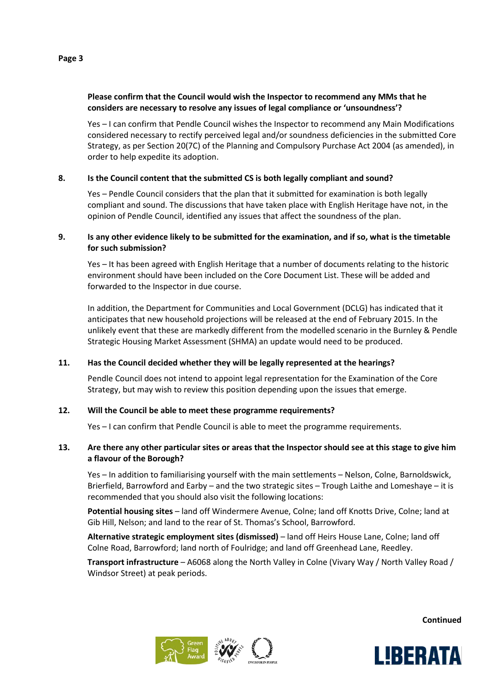## **Please confirm that the Council would wish the Inspector to recommend any MMs that he considers are necessary to resolve any issues of legal compliance or 'unsoundness'?**

Yes – I can confirm that Pendle Council wishes the Inspector to recommend any Main Modifications considered necessary to rectify perceived legal and/or soundness deficiencies in the submitted Core Strategy, as per Section 20(7C) of the Planning and Compulsory Purchase Act 2004 (as amended), in order to help expedite its adoption.

## **8. Is the Council content that the submitted CS is both legally compliant and sound?**

Yes – Pendle Council considers that the plan that it submitted for examination is both legally compliant and sound. The discussions that have taken place with English Heritage have not, in the opinion of Pendle Council, identified any issues that affect the soundness of the plan.

## **9. Is any other evidence likely to be submitted for the examination, and if so, what is the timetable for such submission?**

Yes – It has been agreed with English Heritage that a number of documents relating to the historic environment should have been included on the Core Document List. These will be added and forwarded to the Inspector in due course.

In addition, the Department for Communities and Local Government (DCLG) has indicated that it anticipates that new household projections will be released at the end of February 2015. In the unlikely event that these are markedly different from the modelled scenario in the Burnley & Pendle Strategic Housing Market Assessment (SHMA) an update would need to be produced.

## **11. Has the Council decided whether they will be legally represented at the hearings?**

Pendle Council does not intend to appoint legal representation for the Examination of the Core Strategy, but may wish to review this position depending upon the issues that emerge.

## **12. Will the Council be able to meet these programme requirements?**

Yes – I can confirm that Pendle Council is able to meet the programme requirements.

## **13. Are there any other particular sites or areas that the Inspector should see at this stage to give him a flavour of the Borough?**

Yes – In addition to familiarising yourself with the main settlements – Nelson, Colne, Barnoldswick, Brierfield, Barrowford and Earby – and the two strategic sites – Trough Laithe and Lomeshaye – it is recommended that you should also visit the following locations:

**Potential housing sites** – land off Windermere Avenue, Colne; land off Knotts Drive, Colne; land at Gib Hill, Nelson; and land to the rear of St. Thomas's School, Barrowford.

**Alternative strategic employment sites (dismissed)** – land off Heirs House Lane, Colne; land off Colne Road, Barrowford; land north of Foulridge; and land off Greenhead Lane, Reedley.

**Transport infrastructure** – A6068 along the North Valley in Colne (Vivary Way / North Valley Road / Windsor Street) at peak periods.

**Continued**